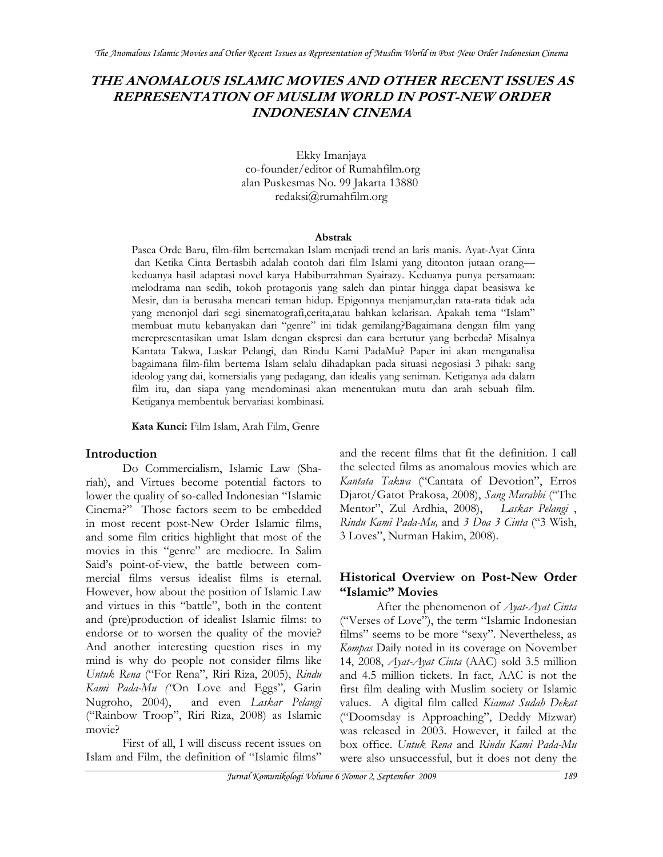## **THE ANOMALOUS ISLAMIC MOVIES AND OTHER RECENT ISSUES AS REPRESENTATION OF MUSLIM WORLD IN POST-NEW ORDER INDONESIAN CINEMA**

Ekky Imanjaya co-founder/editor of Rumahfilm.org alan Puskesmas No. 99 Jakarta 13880 redaksi@rumahfilm.org

#### **Abstrak**

Pasca Orde Baru, film-film bertemakan Islam menjadi trend an laris manis. Ayat-Ayat Cinta dan Ketika Cinta Bertasbih adalah contoh dari film Islami yang ditonton jutaan orang keduanya hasil adaptasi novel karya Habiburrahman Syairazy. Keduanya punya persamaan: melodrama nan sedih, tokoh protagonis yang saleh dan pintar hingga dapat beasiswa ke Mesir, dan ia berusaha mencari teman hidup. Epigonnya menjamur,dan rata-rata tidak ada yang menonjol dari segi sinematografi,cerita,atau bahkan kelarisan. Apakah tema "Islam" membuat mutu kebanyakan dari "genre" ini tidak gemilang?Bagaimana dengan film yang merepresentasikan umat Islam dengan ekspresi dan cara bertutur yang berbeda? Misalnya Kantata Takwa, Laskar Pelangi, dan Rindu Kami PadaMu? Paper ini akan menganalisa bagaimana film-film bertema Islam selalu dihadapkan pada situasi negosiasi 3 pihak: sang ideolog yang dai, komersialis yang pedagang, dan idealis yang seniman. Ketiganya ada dalam film itu, dan siapa yang mendominasi akan menentukan mutu dan arah sebuah film. Ketiganya membentuk bervariasi kombinasi.

**Kata Kunci:** Film Islam, Arah Film, Genre

### **Introduction**

Do Commercialism, Islamic Law (Shariah), and Virtues become potential factors to lower the quality of so-called Indonesian "Islamic Cinema?" Those factors seem to be embedded in most recent post-New Order Islamic films, and some film critics highlight that most of the movies in this "genre" are mediocre. In Salim Said's point-of-view, the battle between commercial films versus idealist films is eternal. However, how about the position of Islamic Law and virtues in this "battle", both in the content and (pre)production of idealist Islamic films: to endorse or to worsen the quality of the movie? And another interesting question rises in my mind is why do people not consider films like *Untuk Rena* ("For Rena", Riri Riza, 2005), *Rindu Kami Pada-Mu ("*On Love and Eggs"*,* Garin Nugroho, 2004), and even *Laskar Pelangi* ("Rainbow Troop", Riri Riza, 2008) as Islamic movie?

First of all, I will discuss recent issues on Islam and Film, the definition of "Islamic films" and the recent films that fit the definition. I call the selected films as anomalous movies which are *Kantata Takwa* ("Cantata of Devotion", Erros Djarot/Gatot Prakosa, 2008), *Sang Murabbi* ("The Mentor", Zul Ardhia, 2008), *Laskar Pelangi* , *Rindu Kami Pada-Mu,* and *3 Doa 3 Cinta* ("3 Wish, 3 Loves", Nurman Hakim, 2008).

### **Historical Overview on Post-New Order "Islamic" Movies**

After the phenomenon of *Ayat-Ayat Cinta* ("Verses of Love"), the term "Islamic Indonesian films" seems to be more "sexy". Nevertheless, as *Kompas* Daily noted in its coverage on November 14, 2008, *Ayat-Ayat Cinta* (AAC) sold 3.5 million and 4.5 million tickets. In fact, AAC is not the first film dealing with Muslim society or Islamic values. A digital film called *Kiamat Sudah Dekat* ("Doomsday is Approaching", Deddy Mizwar) was released in 2003. However, it failed at the box office. *Untuk Rena* and *Rindu Kami Pada-Mu*  were also unsuccessful, but it does not deny the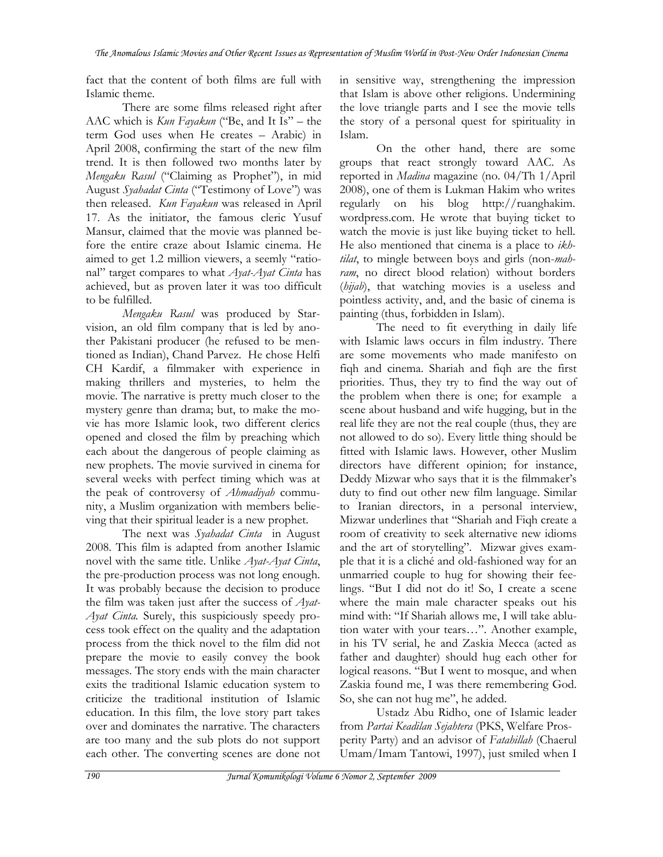fact that the content of both films are full with Islamic theme.

There are some films released right after AAC which is *Kun Fayakun* ("Be, and It Is" – the term God uses when He creates – Arabic) in April 2008, confirming the start of the new film trend. It is then followed two months later by *Mengaku Rasul* ("Claiming as Prophet"), in mid August *Syahadat Cinta* ("Testimony of Love") was then released. *Kun Fayakun* was released in April 17. As the initiator, the famous cleric Yusuf Mansur, claimed that the movie was planned before the entire craze about Islamic cinema. He aimed to get 1.2 million viewers, a seemly "rational" target compares to what *Ayat-Ayat Cinta* has achieved, but as proven later it was too difficult to be fulfilled.

*Mengaku Rasul* was produced by Starvision, an old film company that is led by another Pakistani producer (he refused to be mentioned as Indian), Chand Parvez. He chose Helfi CH Kardif, a filmmaker with experience in making thrillers and mysteries, to helm the movie. The narrative is pretty much closer to the mystery genre than drama; but, to make the movie has more Islamic look, two different clerics opened and closed the film by preaching which each about the dangerous of people claiming as new prophets. The movie survived in cinema for several weeks with perfect timing which was at the peak of controversy of *Ahmadiyah* community, a Muslim organization with members believing that their spiritual leader is a new prophet.

The next was *Syahadat Cinta* in August 2008. This film is adapted from another Islamic novel with the same title. Unlike *Ayat-Ayat Cinta*, the pre-production process was not long enough. It was probably because the decision to produce the film was taken just after the success of *Ayat-Ayat Cinta.* Surely, this suspiciously speedy process took effect on the quality and the adaptation process from the thick novel to the film did not prepare the movie to easily convey the book messages. The story ends with the main character exits the traditional Islamic education system to criticize the traditional institution of Islamic education. In this film, the love story part takes over and dominates the narrative. The characters are too many and the sub plots do not support each other. The converting scenes are done not

in sensitive way, strengthening the impression that Islam is above other religions. Undermining the love triangle parts and I see the movie tells the story of a personal quest for spirituality in Islam.

On the other hand, there are some groups that react strongly toward AAC. As reported in *Madina* magazine (no. 04/Th 1/April 2008), one of them is Lukman Hakim who writes regularly on his blog http://ruanghakim. wordpress.com. He wrote that buying ticket to watch the movie is just like buying ticket to hell. He also mentioned that cinema is a place to *ikhtilat*, to mingle between boys and girls (non-*mahram*, no direct blood relation) without borders (*hijab*), that watching movies is a useless and pointless activity, and, and the basic of cinema is painting (thus, forbidden in Islam).

The need to fit everything in daily life with Islamic laws occurs in film industry. There are some movements who made manifesto on fiqh and cinema. Shariah and fiqh are the first priorities. Thus, they try to find the way out of the problem when there is one; for example a scene about husband and wife hugging, but in the real life they are not the real couple (thus, they are not allowed to do so). Every little thing should be fitted with Islamic laws. However, other Muslim directors have different opinion; for instance, Deddy Mizwar who says that it is the filmmaker's duty to find out other new film language. Similar to Iranian directors, in a personal interview, Mizwar underlines that "Shariah and Fiqh create a room of creativity to seek alternative new idioms and the art of storytelling". Mizwar gives example that it is a cliché and old-fashioned way for an unmarried couple to hug for showing their feelings. "But I did not do it! So, I create a scene where the main male character speaks out his mind with: "If Shariah allows me, I will take ablution water with your tears…". Another example, in his TV serial, he and Zaskia Mecca (acted as father and daughter) should hug each other for logical reasons. "But I went to mosque, and when Zaskia found me, I was there remembering God. So, she can not hug me", he added.

Ustadz Abu Ridho, one of Islamic leader from *Partai Keadilan Sejahtera* (PKS, Welfare Prosperity Party) and an advisor of *Fatahillah* (Chaerul Umam/Imam Tantowi, 1997), just smiled when I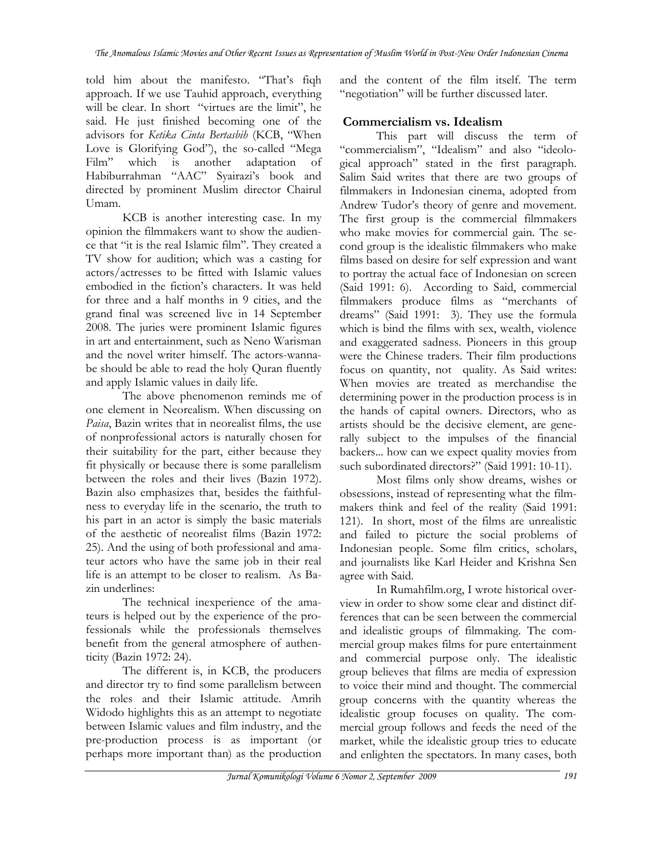told him about the manifesto. "That's fiqh approach. If we use Tauhid approach, everything will be clear. In short "virtues are the limit", he said. He just finished becoming one of the advisors for *Ketika Cinta Bertasbih* (KCB, "When Love is Glorifying God"), the so-called "Mega Film" which is another adaptation of Habiburrahman "AAC" Syairazi's book and directed by prominent Muslim director Chairul Umam.

 KCB is another interesting case. In my opinion the filmmakers want to show the audience that "it is the real Islamic film". They created a TV show for audition; which was a casting for actors/actresses to be fitted with Islamic values embodied in the fiction's characters. It was held for three and a half months in 9 cities, and the grand final was screened live in 14 September 2008. The juries were prominent Islamic figures in art and entertainment, such as Neno Warisman and the novel writer himself. The actors-wannabe should be able to read the holy Quran fluently and apply Islamic values in daily life.

The above phenomenon reminds me of one element in Neorealism. When discussing on *Paisa*, Bazin writes that in neorealist films, the use of nonprofessional actors is naturally chosen for their suitability for the part, either because they fit physically or because there is some parallelism between the roles and their lives (Bazin 1972). Bazin also emphasizes that, besides the faithfulness to everyday life in the scenario, the truth to his part in an actor is simply the basic materials of the aesthetic of neorealist films (Bazin 1972: 25). And the using of both professional and amateur actors who have the same job in their real life is an attempt to be closer to realism. As Bazin underlines:

The technical inexperience of the amateurs is helped out by the experience of the professionals while the professionals themselves benefit from the general atmosphere of authenticity (Bazin 1972: 24).

The different is, in KCB, the producers and director try to find some parallelism between the roles and their Islamic attitude. Amrih Widodo highlights this as an attempt to negotiate between Islamic values and film industry, and the pre-production process is as important (or perhaps more important than) as the production

and the content of the film itself. The term "negotiation" will be further discussed later.

### **Commercialism vs. Idealism**

This part will discuss the term of "commercialism", "Idealism" and also "ideological approach" stated in the first paragraph. Salim Said writes that there are two groups of filmmakers in Indonesian cinema, adopted from Andrew Tudor's theory of genre and movement. The first group is the commercial filmmakers who make movies for commercial gain. The second group is the idealistic filmmakers who make films based on desire for self expression and want to portray the actual face of Indonesian on screen (Said 1991: 6). According to Said, commercial filmmakers produce films as "merchants of dreams" (Said 1991: 3). They use the formula which is bind the films with sex, wealth, violence and exaggerated sadness. Pioneers in this group were the Chinese traders. Their film productions focus on quantity, not quality. As Said writes: When movies are treated as merchandise the determining power in the production process is in the hands of capital owners. Directors, who as artists should be the decisive element, are generally subject to the impulses of the financial backers... how can we expect quality movies from such subordinated directors?" (Said 1991: 10-11).

Most films only show dreams, wishes or obsessions, instead of representing what the filmmakers think and feel of the reality (Said 1991: 121). In short, most of the films are unrealistic and failed to picture the social problems of Indonesian people. Some film critics, scholars, and journalists like Karl Heider and Krishna Sen agree with Said.

In Rumahfilm.org, I wrote historical overview in order to show some clear and distinct differences that can be seen between the commercial and idealistic groups of filmmaking. The commercial group makes films for pure entertainment and commercial purpose only. The idealistic group believes that films are media of expression to voice their mind and thought. The commercial group concerns with the quantity whereas the idealistic group focuses on quality. The commercial group follows and feeds the need of the market, while the idealistic group tries to educate and enlighten the spectators. In many cases, both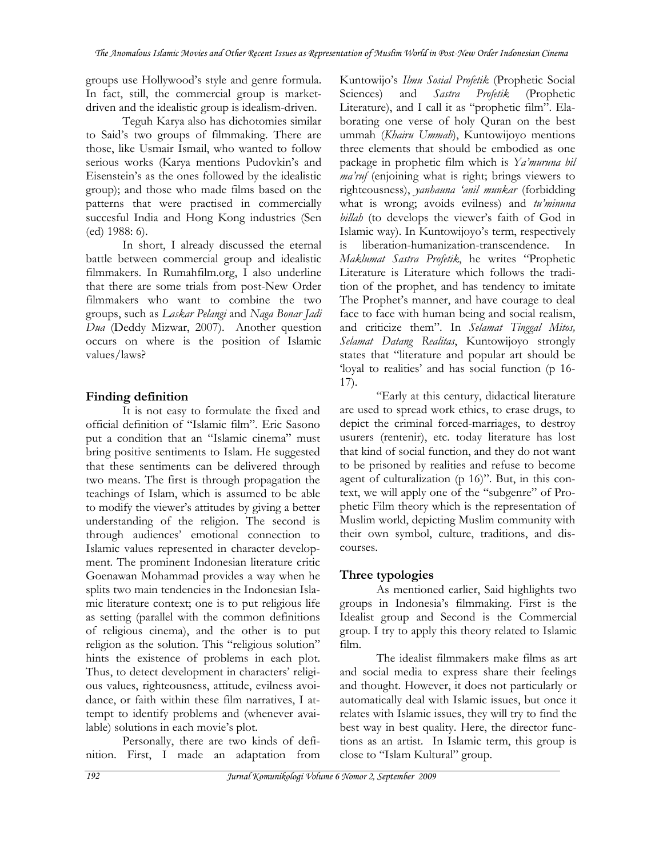groups use Hollywood's style and genre formula. In fact, still, the commercial group is marketdriven and the idealistic group is idealism-driven.

Teguh Karya also has dichotomies similar to Said's two groups of filmmaking. There are those, like Usmair Ismail, who wanted to follow serious works (Karya mentions Pudovkin's and Eisenstein's as the ones followed by the idealistic group); and those who made films based on the patterns that were practised in commercially succesful India and Hong Kong industries (Sen (ed) 1988: 6).

In short, I already discussed the eternal battle between commercial group and idealistic filmmakers. In Rumahfilm.org, I also underline that there are some trials from post-New Order filmmakers who want to combine the two groups, such as *Laskar Pelangi* and *Naga Bonar Jadi Dua* (Deddy Mizwar, 2007). Another question occurs on where is the position of Islamic values/laws?

# **Finding definition**

It is not easy to formulate the fixed and official definition of "Islamic film". Eric Sasono put a condition that an "Islamic cinema" must bring positive sentiments to Islam. He suggested that these sentiments can be delivered through two means. The first is through propagation the teachings of Islam, which is assumed to be able to modify the viewer's attitudes by giving a better understanding of the religion. The second is through audiences' emotional connection to Islamic values represented in character development. The prominent Indonesian literature critic Goenawan Mohammad provides a way when he splits two main tendencies in the Indonesian Islamic literature context; one is to put religious life as setting (parallel with the common definitions of religious cinema), and the other is to put religion as the solution. This "religious solution" hints the existence of problems in each plot. Thus, to detect development in characters' religious values, righteousness, attitude, evilness avoidance, or faith within these film narratives, I attempt to identify problems and (whenever available) solutions in each movie's plot.

Personally, there are two kinds of definition. First, I made an adaptation from Kuntowijo's *Ilmu Sosial Profetik* (Prophetic Social Sciences) and *Sastra Profetik* (Prophetic Literature), and I call it as "prophetic film". Elaborating one verse of holy Quran on the best ummah (*Khairu Ummah*), Kuntowijoyo mentions three elements that should be embodied as one package in prophetic film which is *Ya'muruna bil ma'ruf* (enjoining what is right; brings viewers to righteousness), *yanhauna 'anil munkar* (forbidding what is wrong; avoids evilness) and *tu'minuna billah* (to develops the viewer's faith of God in Islamic way). In Kuntowijoyo's term, respectively is liberation-humanization-transcendence. In *Maklumat Sastra Profetik*, he writes "Prophetic Literature is Literature which follows the tradition of the prophet, and has tendency to imitate The Prophet's manner, and have courage to deal face to face with human being and social realism, and criticize them". In *Selamat Tinggal Mitos, Selamat Datang Realitas*, Kuntowijoyo strongly states that "literature and popular art should be 'loyal to realities' and has social function (p 16- 17).

"Early at this century, didactical literature are used to spread work ethics, to erase drugs, to depict the criminal forced-marriages, to destroy usurers (rentenir), etc. today literature has lost that kind of social function, and they do not want to be prisoned by realities and refuse to become agent of culturalization (p 16)". But, in this context, we will apply one of the "subgenre" of Prophetic Film theory which is the representation of Muslim world, depicting Muslim community with their own symbol, culture, traditions, and discourses.

# **Three typologies**

As mentioned earlier, Said highlights two groups in Indonesia's filmmaking. First is the Idealist group and Second is the Commercial group. I try to apply this theory related to Islamic film.

The idealist filmmakers make films as art and social media to express share their feelings and thought. However, it does not particularly or automatically deal with Islamic issues, but once it relates with Islamic issues, they will try to find the best way in best quality. Here, the director functions as an artist. In Islamic term, this group is close to "Islam Kultural" group.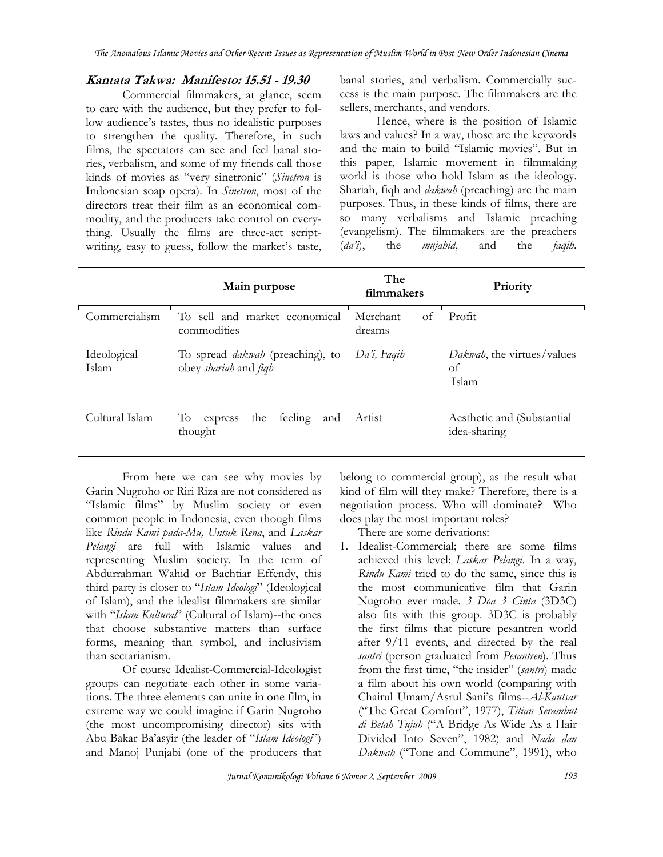*The Anomalous Islamic Movies and Other Recent Issues as Representation of Muslim World in Post-New Order Indonesian Cinema* 

### **Kantata Takwa: Manifesto: 15.51 - 19.30**

Commercial filmmakers, at glance, seem to care with the audience, but they prefer to follow audience's tastes, thus no idealistic purposes to strengthen the quality. Therefore, in such films, the spectators can see and feel banal stories, verbalism, and some of my friends call those kinds of movies as "very sinetronic" (*Sinetron* is Indonesian soap opera). In *Sinetron*, most of the directors treat their film as an economical commodity, and the producers take control on everything. Usually the films are three-act scriptwriting, easy to guess, follow the market's taste, banal stories, and verbalism. Commercially success is the main purpose. The filmmakers are the sellers, merchants, and vendors.

Hence, where is the position of Islamic laws and values? In a way, those are the keywords and the main to build "Islamic movies". But in this paper, Islamic movement in filmmaking world is those who hold Islam as the ideology. Shariah, fiqh and *dakwah* (preaching) are the main purposes. Thus, in these kinds of films, there are so many verbalisms and Islamic preaching (evangelism). The filmmakers are the preachers (*da'i*), the *mujahid*, and the *faqih*.

|                      | Main purpose                                                     | The<br>filmmakers        | Priority                                          |
|----------------------|------------------------------------------------------------------|--------------------------|---------------------------------------------------|
| Commercialism        | To sell and market economical<br>commodities                     | of<br>Merchant<br>dreams | Profit                                            |
| Ideological<br>Islam | To spread <i>dakwah</i> (preaching), to<br>obey shariah and figh | Da'i, Faqih              | <i>Dakwah</i> , the virtues/values<br>οf<br>Islam |
| Cultural Islam       | Tо<br>feeling<br>the<br>express<br>and<br>thought                | Artist                   | Aesthetic and (Substantial<br>idea-sharing        |

From here we can see why movies by Garin Nugroho or Riri Riza are not considered as "Islamic films" by Muslim society or even common people in Indonesia, even though films like *Rindu Kami pada-Mu, Untuk Rena*, and *Laskar Pelangi* are full with Islamic values and representing Muslim society. In the term of Abdurrahman Wahid or Bachtiar Effendy, this third party is closer to "Islam Ideologi" (Ideological of Islam), and the idealist filmmakers are similar with "*Islam Kultural*" (Cultural of Islam)--the ones that choose substantive matters than surface forms, meaning than symbol, and inclusivism than sectarianism.

Of course Idealist-Commercial-Ideologist groups can negotiate each other in some variations. The three elements can unite in one film, in extreme way we could imagine if Garin Nugroho (the most uncompromising director) sits with Abu Bakar Ba'asyir (the leader of "*Islam Ideologi*") and Manoj Punjabi (one of the producers that belong to commercial group), as the result what kind of film will they make? Therefore, there is a negotiation process. Who will dominate? Who does play the most important roles?

There are some derivations:

1. Idealist-Commercial; there are some films achieved this level: *Laskar Pelangi*. In a way, *Rindu Kami* tried to do the same, since this is the most communicative film that Garin Nugroho ever made. *3 Doa 3 Cinta* (3D3C) also fits with this group. 3D3C is probably the first films that picture pesantren world after 9/11 events, and directed by the real *santri* (person graduated from *Pesantren*). Thus from the first time, "the insider" (*santri*) made a film about his own world (comparing with Chairul Umam/Asrul Sani's films--*Al-Kautsar* ("The Great Comfort", 1977), *Titian Serambut di Belah Tujuh* ("A Bridge As Wide As a Hair Divided Into Seven", 1982) and *Nada dan Dakwah* ("Tone and Commune", 1991), who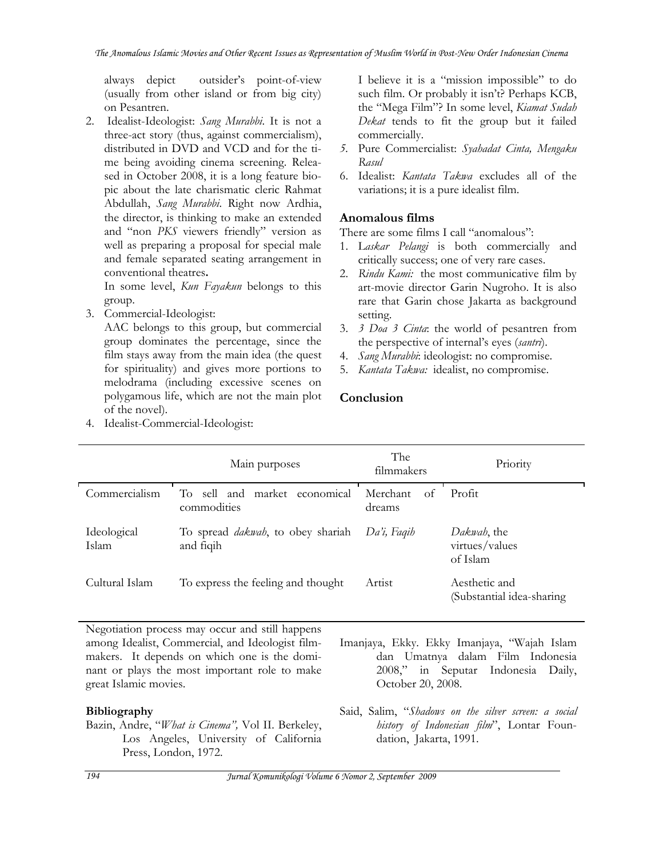always depict outsider's point-of-view (usually from other island or from big city) on Pesantren.

2. Idealist-Ideologist: *Sang Murabbi*. It is not a three-act story (thus, against commercialism), distributed in DVD and VCD and for the time being avoiding cinema screening. Released in October 2008, it is a long feature biopic about the late charismatic cleric Rahmat Abdullah, *Sang Murabbi*. Right now Ardhia, the director, is thinking to make an extended and "non *PKS* viewers friendly" version as well as preparing a proposal for special male and female separated seating arrangement in conventional theatres**.** 

In some level, *Kun Fayakun* belongs to this group.

3. Commercial-Ideologist:

4. Idealist-Commercial-Ideologist:

AAC belongs to this group, but commercial group dominates the percentage, since the film stays away from the main idea (the quest for spirituality) and gives more portions to melodrama (including excessive scenes on polygamous life, which are not the main plot of the novel).

I believe it is a "mission impossible" to do such film. Or probably it isn't? Perhaps KCB, the "Mega Film"? In some level, *Kiamat Sudah Dekat* tends to fit the group but it failed commercially.

- *5.* Pure Commercialist: *Syahadat Cinta, Mengaku Rasul*
- 6. Idealist: *Kantata Takwa* excludes all of the variations; it is a pure idealist film.

### **Anomalous films**

There are some films I call "anomalous":

- 1. L*askar Pelangi* is both commercially and critically success; one of very rare cases.
- 2. *Rindu Kami:* the most communicative film by art-movie director Garin Nugroho. It is also rare that Garin chose Jakarta as background setting.
- 3. *3 Doa 3 Cinta*: the world of pesantren from the perspective of internal's eyes (*santri*).
- 4. *Sang Murabbi*: ideologist: no compromise.
- 5. *Kantata Takwa:* idealist, no compromise.

### **Conclusion**

|                      | Main purposes                                          | The<br>filmmakers        | Priority                                   |
|----------------------|--------------------------------------------------------|--------------------------|--------------------------------------------|
| Commercialism        | To sell and market economical<br>commodities           | Merchant<br>of<br>dreams | Profit                                     |
| Ideological<br>Islam | To spread <i>dakwab</i> , to obey shariah<br>and fiqih | Da'i, Faqih              | Dakwah, the<br>virtues/values<br>of Islam  |
| Cultural Islam       | To express the feeling and thought                     | Artist                   | Aesthetic and<br>(Substantial idea-sharing |

Negotiation process may occur and still happens among Idealist, Commercial, and Ideologist filmmakers. It depends on which one is the dominant or plays the most important role to make great Islamic movies.

### **Bibliography**

Bazin, Andre, "*What is Cinema",* Vol II. Berkeley, Los Angeles, University of California Press, London, 1972.

- Imanjaya, Ekky. Ekky Imanjaya, "Wajah Islam dan Umatnya dalam Film Indonesia 2008," in Seputar Indonesia Daily, October 20, 2008.
- Said, Salim, "*Shadows on the silver screen: a social history of Indonesian film*", Lontar Foundation, Jakarta, 1991.